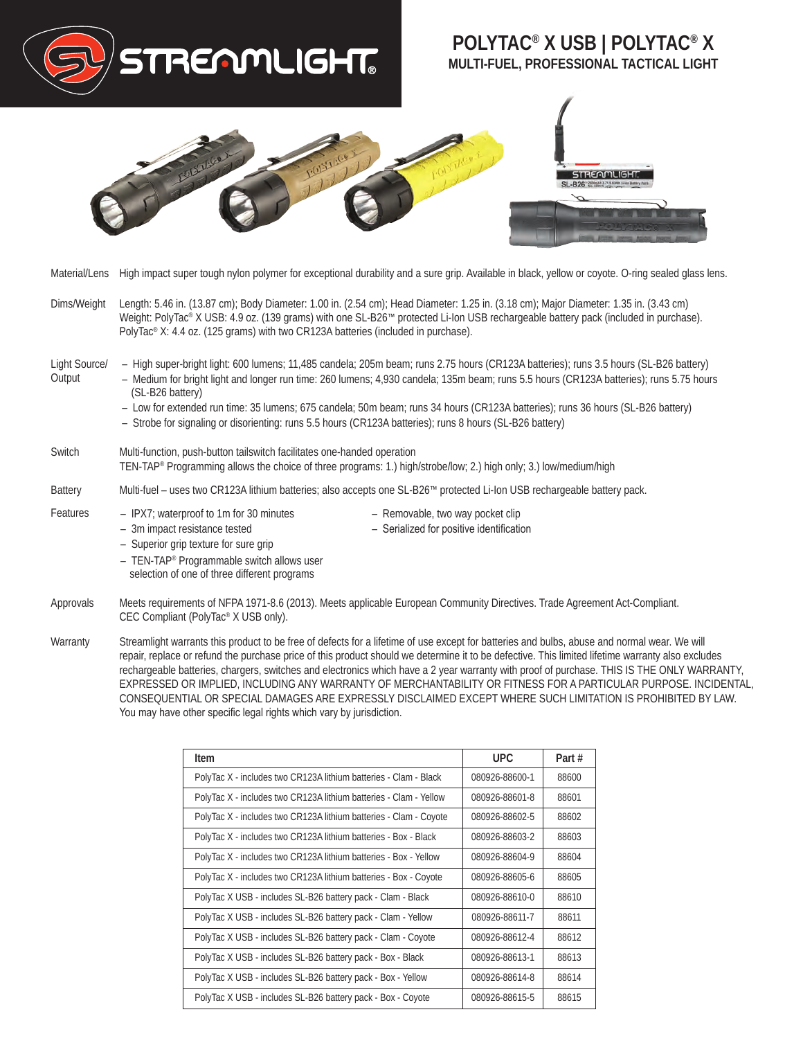

- Approvals Meets requirements of NFPA 1971-8.6 (2013). Meets applicable European Community Directives. Trade Agreement Act-Compliant. CEC Compliant (PolyTac® X USB only).
- Warranty Streamlight warrants this product to be free of defects for a lifetime of use except for batteries and bulbs, abuse and normal wear. We will repair, replace or refund the purchase price of this product should we determine it to be defective. This limited lifetime warranty also excludes rechargeable batteries, chargers, switches and electronics which have a 2 year warranty with proof of purchase. THIS IS THE ONLY WARRANTY, EXPRESSED OR IMPLIED, INCLUDING ANY WARRANTY OF MERCHANTABILITY OR FITNESS FOR A PARTICULAR PURPOSE. INCIDENTAL, CONSEQUENTIAL OR SPECIAL DAMAGES ARE EXPRESSLY DISCLAIMED EXCEPT WHERE SUCH LIMITATION IS PROHIBITED BY LAW. You may have other specific legal rights which vary by jurisdiction.

| Item                                                              | UPC.           | Part # |
|-------------------------------------------------------------------|----------------|--------|
| PolyTac X - includes two CR123A lithium batteries - Clam - Black  | 080926-88600-1 | 88600  |
| PolyTac X - includes two CR123A lithium batteries - Clam - Yellow | 080926-88601-8 | 88601  |
| PolyTac X - includes two CR123A lithium batteries - Clam - Coyote | 080926-88602-5 | 88602  |
| PolyTac X - includes two CR123A lithium batteries - Box - Black   | 080926-88603-2 | 88603  |
| PolyTac X - includes two CR123A lithium batteries - Box - Yellow  | 080926-88604-9 | 88604  |
| PolyTac X - includes two CR123A lithium batteries - Box - Coyote  | 080926-88605-6 | 88605  |
| PolyTac X USB - includes SL-B26 battery pack - Clam - Black       | 080926-88610-0 | 88610  |
| PolyTac X USB - includes SL-B26 battery pack - Clam - Yellow      | 080926-88611-7 | 88611  |
| PolyTac X USB - includes SL-B26 battery pack - Clam - Coyote      | 080926-88612-4 | 88612  |
| PolyTac X USB - includes SL-B26 battery pack - Box - Black        | 080926-88613-1 | 88613  |
| PolyTac X USB - includes SL-B26 battery pack - Box - Yellow       | 080926-88614-8 | 88614  |
| PolyTac X USB - includes SL-B26 battery pack - Box - Coyote       | 080926-88615-5 | 88615  |